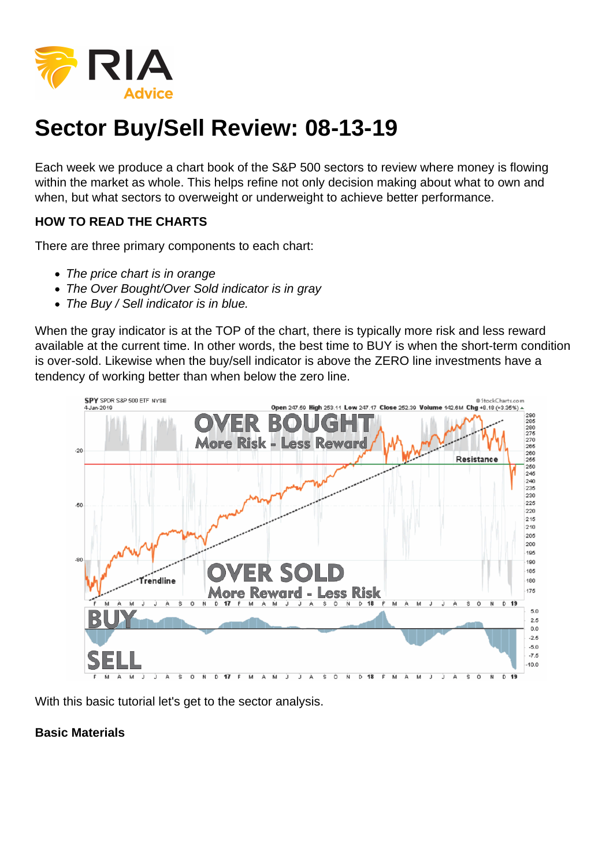## Sector Buy/Sell Review: 08-13-19

Each week we produce a chart book of the S&P 500 sectors to review where money is flowing within the market as whole. This helps refine not only decision making about what to own and when, but what sectors to overweight or underweight to achieve better performance.

HOW TO READ THE CHARTS

There are three primary components to each chart:

- The price chart is in orange
- The Over Bought/Over Sold indicator is in gray
- The Buy / Sell indicator is in blue.

When the gray indicator is at the TOP of the chart, there is typically more risk and less reward available at the current time. In other words, the best time to BUY is when the short-term condition is over-sold. Likewise when the buy/sell indicator is above the ZERO line investments have a tendency of working better than when below the zero line.

With this basic tutorial let's get to the sector analysis.

Basic Materials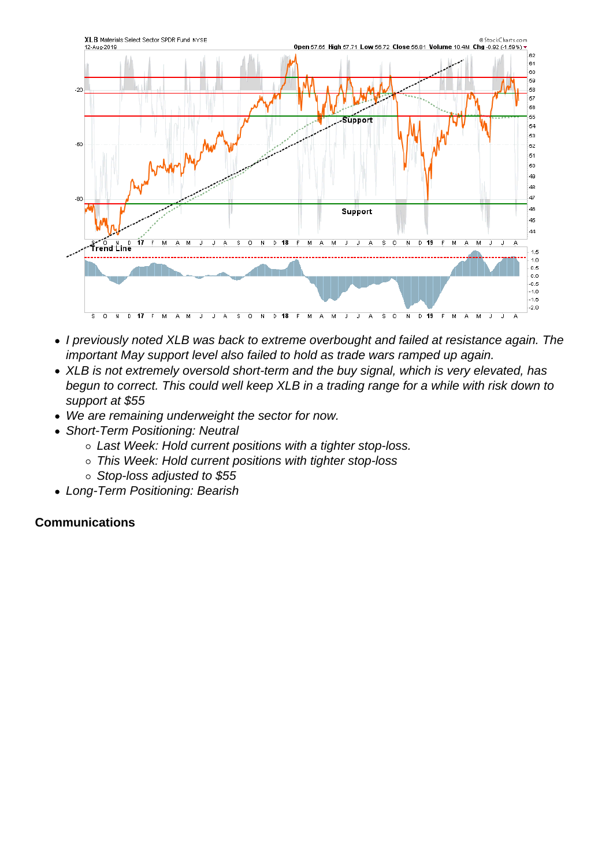- I previously noted XLB was back to extreme overbought and failed at resistance again. The important May support level also failed to hold as trade wars ramped up again.
- XLB is not extremely oversold short-term and the buy signal, which is very elevated, has begun to correct. This could well keep XLB in a trading range for a while with risk down to support at \$55
- We are remaining underweight the sector for now.
- Short-Term Positioning: Neutral
	- Last Week: Hold current positions with a tighter stop-loss.
	- o This Week: Hold current positions with tighter stop-loss
	- $\circ$  Stop-loss adjusted to \$55
- Long-Term Positioning: Bearish

**Communications**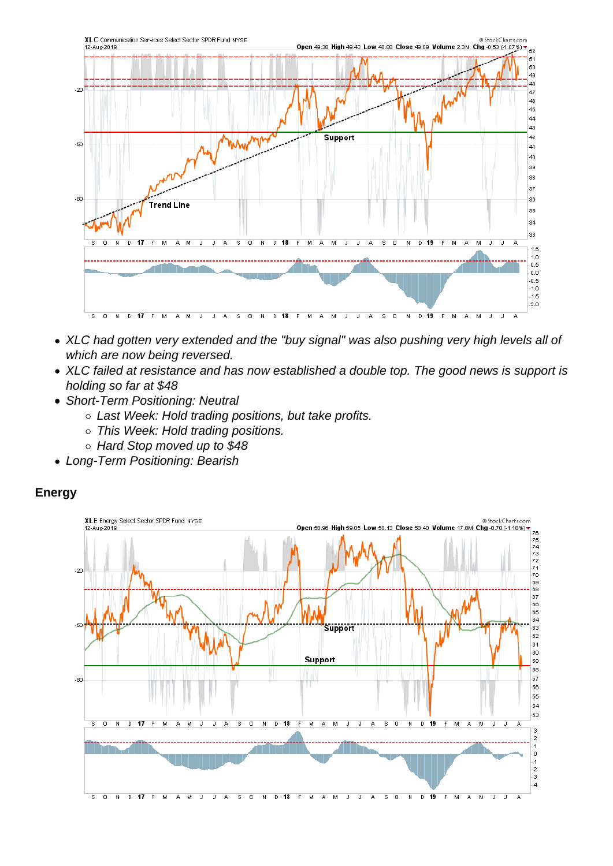- XLC had gotten very extended and the "buy signal" was also pushing very high levels all of which are now being reversed.
- XLC failed at resistance and has now established a double top. The good news is support is holding so far at \$48
- Short-Term Positioning: Neutral
	- Last Week: Hold trading positions, but take profits.
	- This Week: Hold trading positions.
	- Hard Stop moved up to \$48
- Long-Term Positioning: Bearish

Energy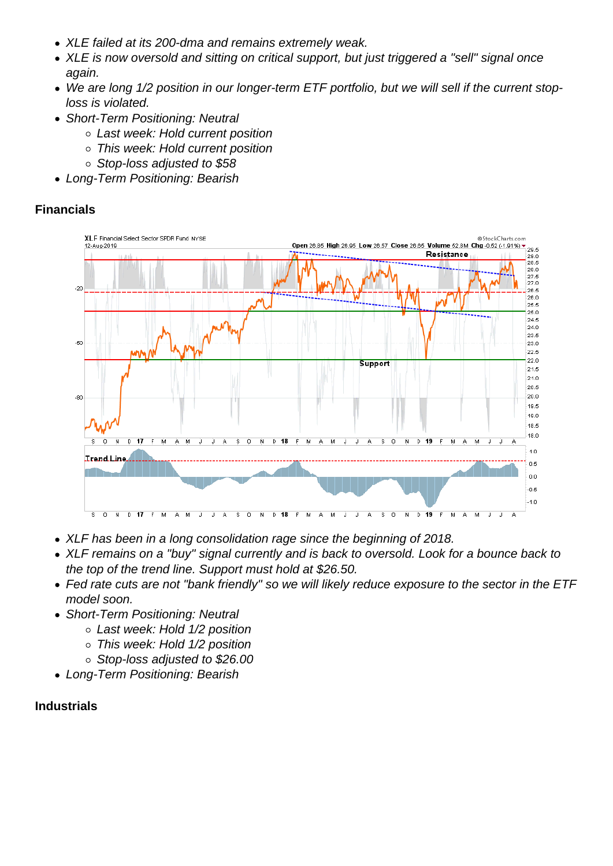- XLE failed at its 200-dma and remains extremely weak.
- XLE is now oversold and sitting on critical support, but just triggered a "sell" signal once again.
- We are long 1/2 position in our longer-term ETF portfolio, but we will sell if the current stoploss is violated.
- Short-Term Positioning: Neutral
	- Last week: Hold current position
	- This week: Hold current position
	- Stop-loss adjusted to \$58
- Long-Term Positioning: Bearish

Financials

- XLF has been in a long consolidation rage since the beginning of 2018.
- XLF remains on a "buy" signal currently and is back to oversold. Look for a bounce back to the top of the trend line. Support must hold at \$26.50.
- Fed rate cuts are not "bank friendly" so we will likely reduce exposure to the sector in the ETF model soon.
- Short-Term Positioning: Neutral
	- Last week: Hold 1/2 position
	- This week: Hold 1/2 position
	- Stop-loss adjusted to \$26.00
- Long-Term Positioning: Bearish

Industrials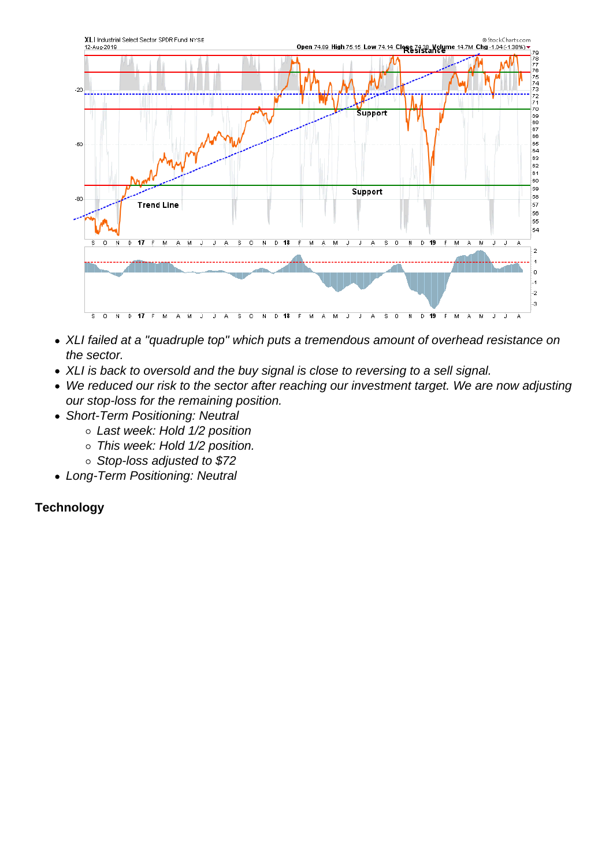- XLI failed at a "quadruple top" which puts a tremendous amount of overhead resistance on the sector.
- XLI is back to oversold and the buy signal is close to reversing to a sell signal.
- We reduced our risk to the sector after reaching our investment target. We are now adjusting our stop-loss for the remaining position.
- Short-Term Positioning: Neutral
	- Last week: Hold 1/2 position
	- This week: Hold 1/2 position.
	- o Stop-loss adjusted to \$72
- Long-Term Positioning: Neutral

**Technology**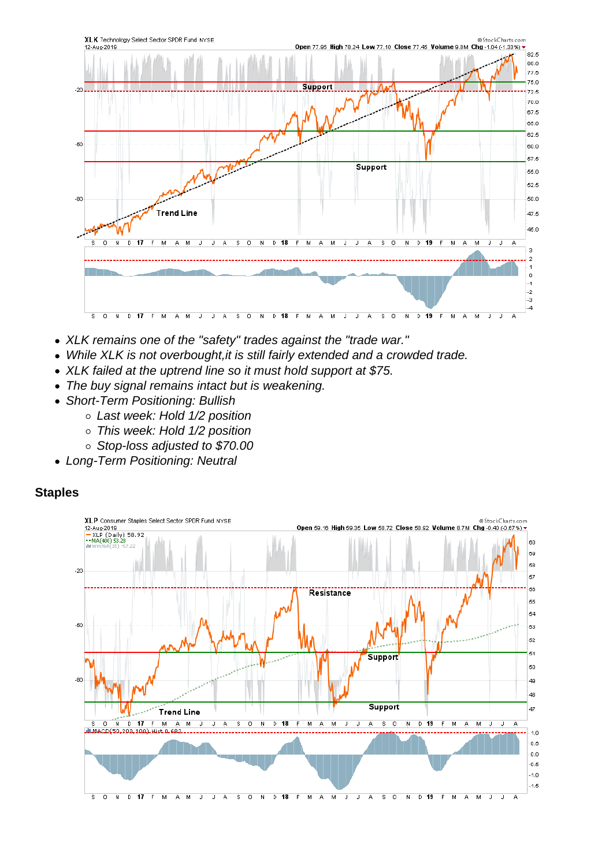- XLK remains one of the "safety" trades against the "trade war."
- While XLK is not overbought, it is still fairly extended and a crowded trade.
- XLK failed at the uptrend line so it must hold support at \$75.
- The buy signal remains intact but is weakening.
- Short-Term Positioning: Bullish
	- Last week: Hold 1/2 position
	- This week: Hold 1/2 position
	- Stop-loss adjusted to \$70.00
- Long-Term Positioning: Neutral

**Staples**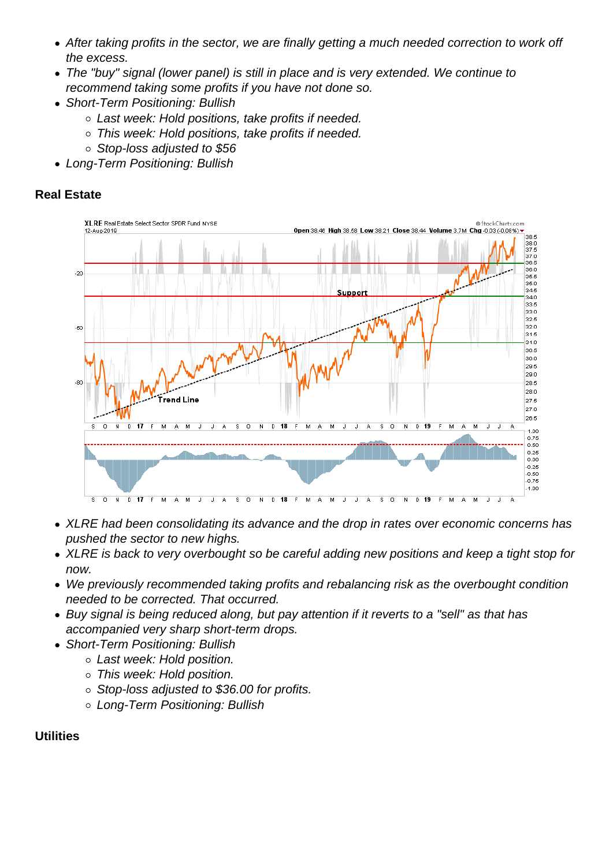- After taking profits in the sector, we are finally getting a much needed correction to work off the excess.
- The "buy" signal (lower panel) is still in place and is very extended. We continue to recommend taking some profits if you have not done so.
- Short-Term Positioning: Bullish
	- Last week: Hold positions, take profits if needed.
	- This week: Hold positions, take profits if needed.
	- Stop-loss adjusted to \$56
- Long-Term Positioning: Bullish

Real Estate

- XLRE had been consolidating its advance and the drop in rates over economic concerns has pushed the sector to new highs.
- XLRE is back to very overbought so be careful adding new positions and keep a tight stop for now.
- We previously recommended taking profits and rebalancing risk as the overbought condition needed to be corrected. That occurred.
- Buy signal is being reduced along, but pay attention if it reverts to a "sell" as that has accompanied very sharp short-term drops.
- Short-Term Positioning: Bullish
	- Last week: Hold position.
	- This week: Hold position.
	- o Stop-loss adjusted to \$36.00 for profits.
	- Long-Term Positioning: Bullish

**Utilities**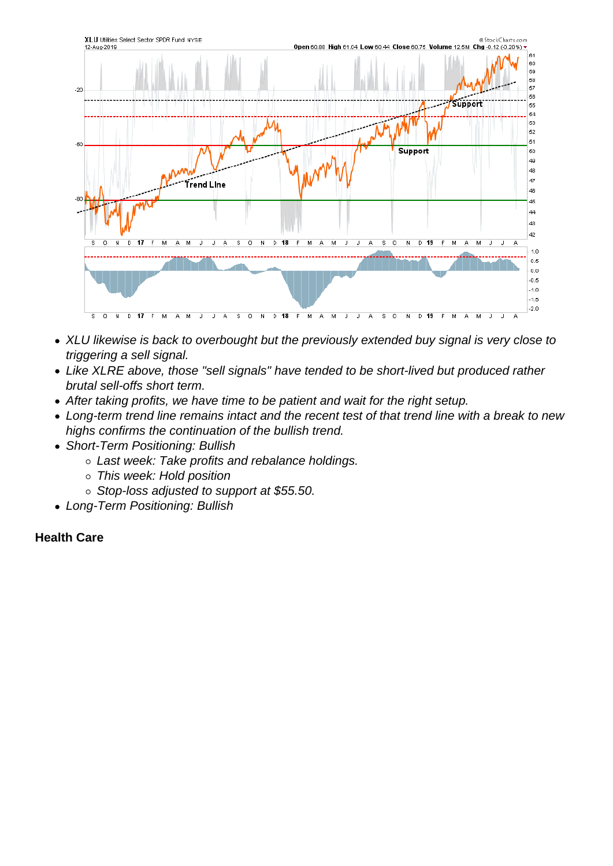- XLU likewise is back to overbought but the previously extended buy signal is very close to triggering a sell signal.
- Like XLRE above, those "sell signals" have tended to be short-lived but produced rather brutal sell-offs short term.
- After taking profits, we have time to be patient and wait for the right setup.
- Long-term trend line remains intact and the recent test of that trend line with a break to new highs confirms the continuation of the bullish trend.
- Short-Term Positioning: Bullish
	- o Last week: Take profits and rebalance holdings.
	- This week: Hold position
	- $\circ$  Stop-loss adjusted to support at \$55.50.
- Long-Term Positioning: Bullish

Health Care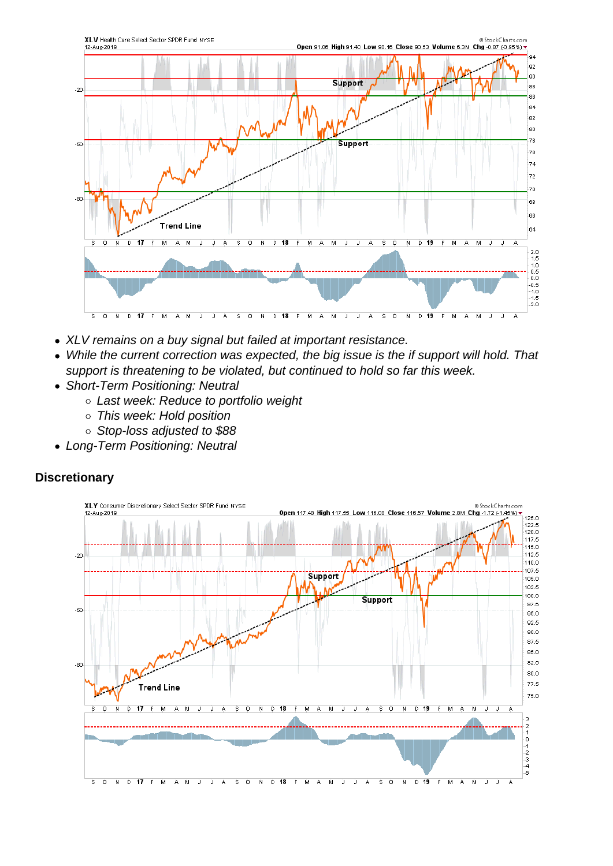- XLV remains on a buy signal but failed at important resistance.
- While the current correction was expected, the big issue is the if support will hold. That support is threatening to be violated, but continued to hold so far this week.
- Short-Term Positioning: Neutral
	- Last week: Reduce to portfolio weight
	- o This week: Hold position
	- Stop-loss adjusted to \$88
- Long-Term Positioning: Neutral

**Discretionary**